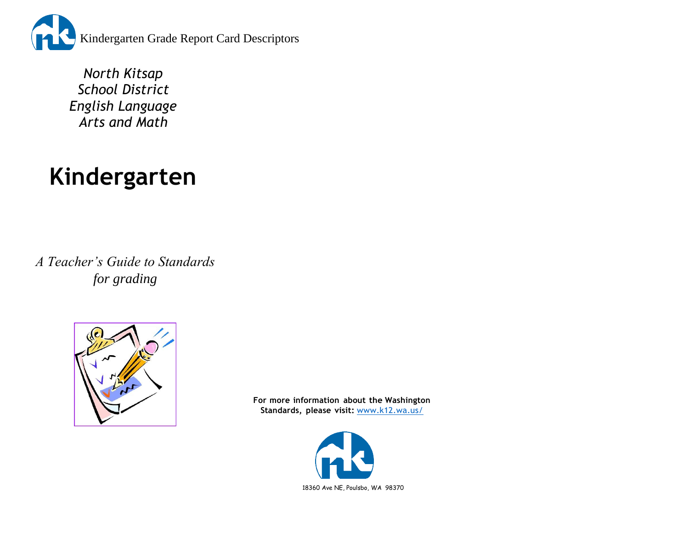

*North Kitsap School District English Language Arts and Math*

# **Kindergarten**

*A Teacher's Guide to Standards for grading*



**For more information about the Washington Standards, please visit:** [www.k12.wa.us/](http://www.k12.wa.us/)